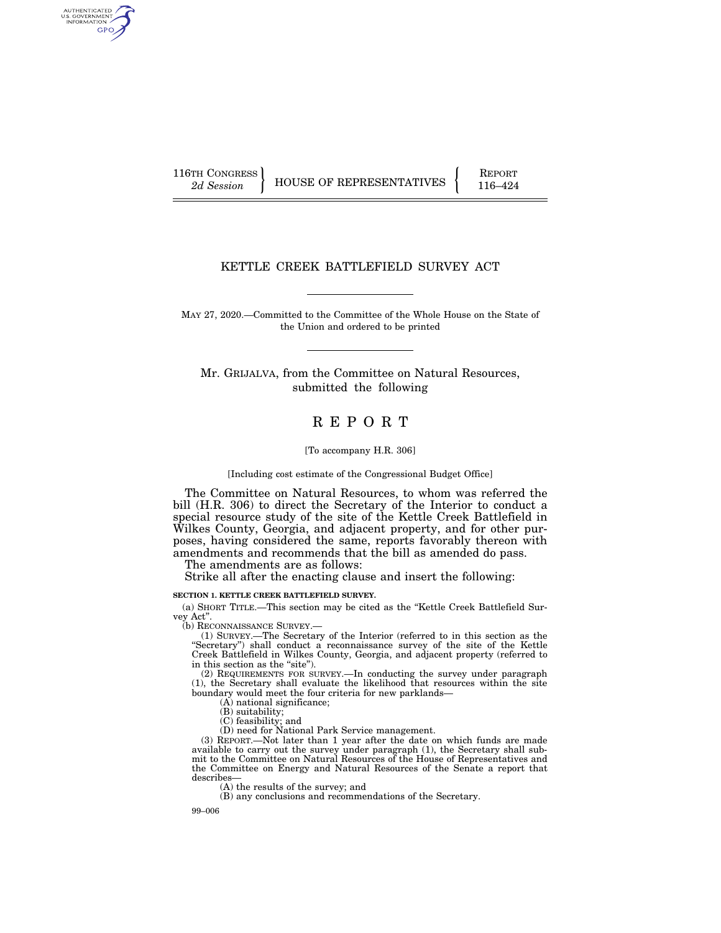AUTHENTICATED<br>U.S. GOVERNMENT<br>INFORMATION GPO

116TH CONGRESS HOUSE OF REPRESENTATIVES FEPORT 116–424

# KETTLE CREEK BATTLEFIELD SURVEY ACT

MAY 27, 2020.—Committed to the Committee of the Whole House on the State of the Union and ordered to be printed

Mr. GRIJALVA, from the Committee on Natural Resources, submitted the following

# R E P O R T

#### [To accompany H.R. 306]

[Including cost estimate of the Congressional Budget Office]

The Committee on Natural Resources, to whom was referred the bill (H.R. 306) to direct the Secretary of the Interior to conduct a special resource study of the site of the Kettle Creek Battlefield in Wilkes County, Georgia, and adjacent property, and for other purposes, having considered the same, reports favorably thereon with amendments and recommends that the bill as amended do pass.

The amendments are as follows:

Strike all after the enacting clause and insert the following:

### **SECTION 1. KETTLE CREEK BATTLEFIELD SURVEY.**

(a) SHORT TITLE.—This section may be cited as the ''Kettle Creek Battlefield Survey Act''.

(b) RECONNAISSANCE SURVEY.—

(1) SURVEY.—The Secretary of the Interior (referred to in this section as the ''Secretary'') shall conduct a reconnaissance survey of the site of the Kettle Creek Battlefield in Wilkes County, Georgia, and adjacent property (referred to in this section as the "site").

(2) REQUIREMENTS FOR SURVEY.—In conducting the survey under paragraph (1), the Secretary shall evaluate the likelihood that resources within the site boundary would meet the four criteria for new parklands—

 $(A)$  national significance;

(B) suitability;

(C) feasibility; and

(D) need for National Park Service management.

(3) REPORT.—Not later than 1 year after the date on which funds are made available to carry out the survey under paragraph (1), the Secretary shall submit to the Committee on Natural Resources of the House of Representatives and the Committee on Energy and Natural Resources of the Senate a report that describes—

(A) the results of the survey; and

(B) any conclusions and recommendations of the Secretary.

99–006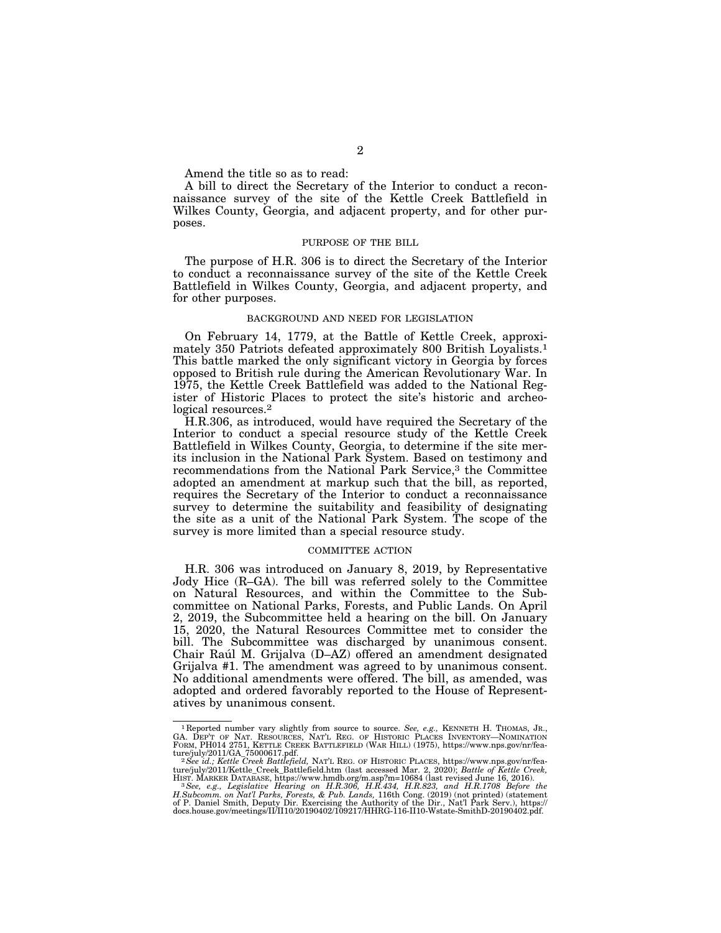Amend the title so as to read:

A bill to direct the Secretary of the Interior to conduct a reconnaissance survey of the site of the Kettle Creek Battlefield in Wilkes County, Georgia, and adjacent property, and for other purposes.

#### PURPOSE OF THE BILL

The purpose of H.R. 306 is to direct the Secretary of the Interior to conduct a reconnaissance survey of the site of the Kettle Creek Battlefield in Wilkes County, Georgia, and adjacent property, and for other purposes.

#### BACKGROUND AND NEED FOR LEGISLATION

On February 14, 1779, at the Battle of Kettle Creek, approximately 350 Patriots defeated approximately 800 British Loyalists.1 This battle marked the only significant victory in Georgia by forces opposed to British rule during the American Revolutionary War. In 1975, the Kettle Creek Battlefield was added to the National Register of Historic Places to protect the site's historic and archeological resources.2

H.R.306, as introduced, would have required the Secretary of the Interior to conduct a special resource study of the Kettle Creek Battlefield in Wilkes County, Georgia, to determine if the site merits inclusion in the National Park System. Based on testimony and recommendations from the National Park Service,<sup>3</sup> the Committee adopted an amendment at markup such that the bill, as reported, requires the Secretary of the Interior to conduct a reconnaissance survey to determine the suitability and feasibility of designating the site as a unit of the National Park System. The scope of the survey is more limited than a special resource study.

#### COMMITTEE ACTION

H.R. 306 was introduced on January 8, 2019, by Representative Jody Hice (R–GA). The bill was referred solely to the Committee on Natural Resources, and within the Committee to the Subcommittee on National Parks, Forests, and Public Lands. On April 2, 2019, the Subcommittee held a hearing on the bill. On January 15, 2020, the Natural Resources Committee met to consider the bill. The Subcommittee was discharged by unanimous consent. Chair Raúl M. Grijalva (D–AZ) offered an amendment designated Grijalva #1. The amendment was agreed to by unanimous consent. No additional amendments were offered. The bill, as amended, was adopted and ordered favorably reported to the House of Representatives by unanimous consent.

<sup>1</sup> Reported number vary slightly from source to source. *See, e.g.,* KENNETH H. THOMAS, JR., GA. DEP'T OF NAT. RESOURCES, NAT'L REG. OF HISTORIC PLACES INVENTORY—NOMINATION FORM, PH014 2751, KETTLE CREEK BATTLEFIELD (WAR HILL) (1975), https://www.nps.gov/nr/fea-ture/july/2011/GA\_75000617.pdf. 2*See id.; Kettle Creek Battlefield,* NAT'L REG. OF HISTORIC PLACES, https://www.nps.gov/nr/fea-

ture/july/2011/Kettle\_Creek\_Battlefield.htm (last accessed Mar. 2, 2020); *Battle of Kettle Creek,*<br>Hisr. MARKER DATABASE, https://www.hmdb.org/m.asp?m=10684 (last revised June 16, 2016).<br><sup>3</sup> See, e.g., *Legislative Hearin* 

*H.Subcomm. on Nat'l Parks, Forests, & Pub. Lands,* 116th Cong. (2019) (not printed) (statement<br>of P. Daniel Smith, Deputy Dir. Exercising the Authority of the Dir., Nat'l Park Serv.), https://<br>docs.house.gov/meetings/II/I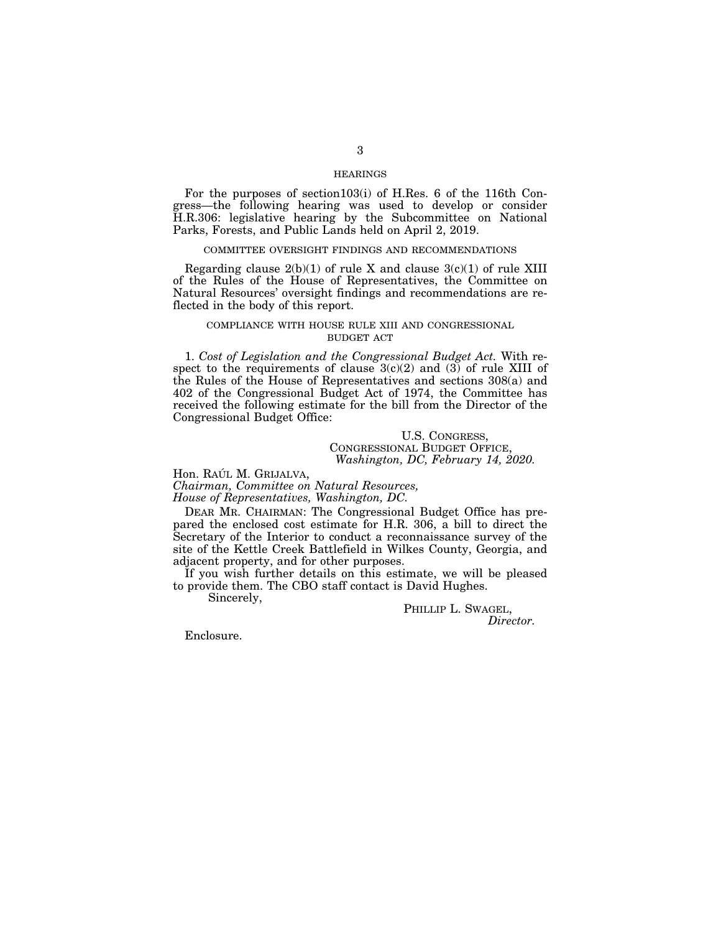### HEARINGS

For the purposes of section103(i) of H.Res. 6 of the 116th Congress—the following hearing was used to develop or consider H.R.306: legislative hearing by the Subcommittee on National Parks, Forests, and Public Lands held on April 2, 2019.

#### COMMITTEE OVERSIGHT FINDINGS AND RECOMMENDATIONS

Regarding clause  $2(b)(1)$  of rule X and clause  $3(c)(1)$  of rule XIII of the Rules of the House of Representatives, the Committee on Natural Resources' oversight findings and recommendations are reflected in the body of this report.

#### COMPLIANCE WITH HOUSE RULE XIII AND CONGRESSIONAL BUDGET ACT

1. *Cost of Legislation and the Congressional Budget Act.* With respect to the requirements of clause  $3(c)(2)$  and  $(3)$  of rule XIII of the Rules of the House of Representatives and sections 308(a) and 402 of the Congressional Budget Act of 1974, the Committee has received the following estimate for the bill from the Director of the Congressional Budget Office:

# U.S. CONGRESS, CONGRESSIONAL BUDGET OFFICE, *Washington, DC, February 14, 2020.*

Hon. RAÚL M. GRIJALVA,

*Chairman, Committee on Natural Resources, House of Representatives, Washington, DC.* 

DEAR MR. CHAIRMAN: The Congressional Budget Office has prepared the enclosed cost estimate for H.R. 306, a bill to direct the Secretary of the Interior to conduct a reconnaissance survey of the site of the Kettle Creek Battlefield in Wilkes County, Georgia, and adjacent property, and for other purposes.

If you wish further details on this estimate, we will be pleased to provide them. The CBO staff contact is David Hughes.

Sincerely,

PHILLIP L. SWAGEL, *Director.* 

Enclosure.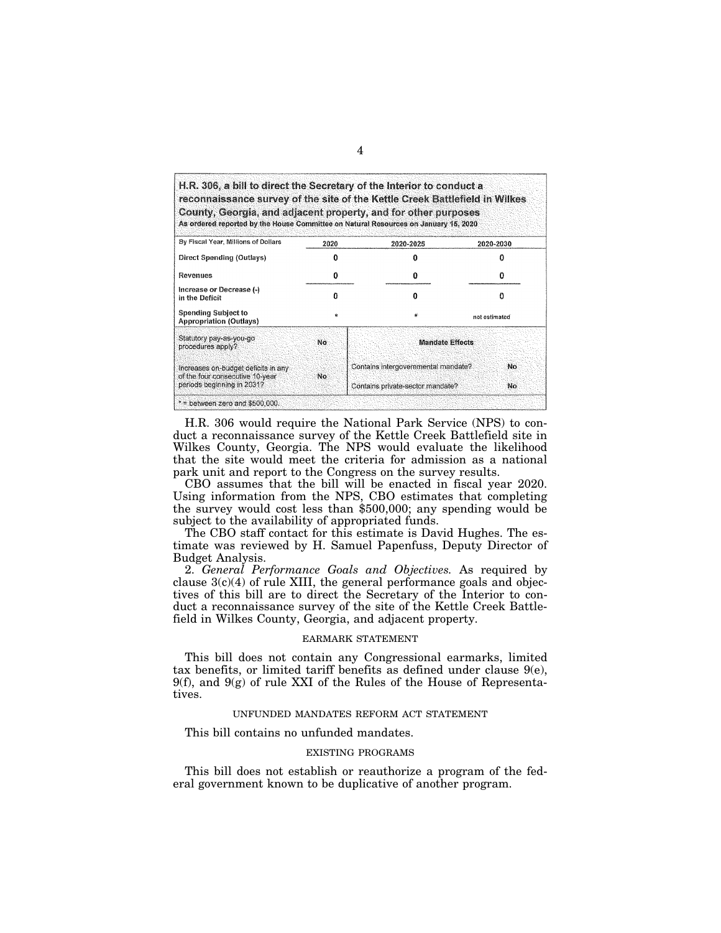| reconnaissance survey of the site of the Kettle Creek Battlefield in Wilkes<br>County, Georgia, and adjacent property, and for other purposes<br>As ordered reported by the House Committee on Natural Resources on January 15, 2020 |      |                                           |               |
|--------------------------------------------------------------------------------------------------------------------------------------------------------------------------------------------------------------------------------------|------|-------------------------------------------|---------------|
| By Fiscal Year, Millions of Dollars                                                                                                                                                                                                  | 2020 | 2020-2025                                 | 2020-2030     |
| <b>Direct Spending (Outlays)</b>                                                                                                                                                                                                     |      | Ω                                         |               |
| Revenues                                                                                                                                                                                                                             | o    | o                                         |               |
| Increase or Decrease (-)<br>in the Deficit                                                                                                                                                                                           | Ω    | Ω                                         | Ð             |
| <b>Spending Subject to</b><br><b>Appropriation (Outlays)</b>                                                                                                                                                                         |      |                                           | not estimated |
| Statutory pay-as-you-go<br>procedures apply?                                                                                                                                                                                         | No   | <b>Mandate Effects</b>                    |               |
| Increases on-budget deficits in any<br>of the four consecutive 10-year                                                                                                                                                               | No.  | Contains intergovernmental mandate?<br>No |               |
| periods beginning in 2031?                                                                                                                                                                                                           |      | Contains private-sector mandate?          | No            |

H.R. 306 would require the National Park Service (NPS) to conduct a reconnaissance survey of the Kettle Creek Battlefield site in Wilkes County, Georgia. The NPS would evaluate the likelihood that the site would meet the criteria for admission as a national park unit and report to the Congress on the survey results.

CBO assumes that the bill will be enacted in fiscal year 2020. Using information from the NPS, CBO estimates that completing the survey would cost less than \$500,000; any spending would be subject to the availability of appropriated funds.

The CBO staff contact for this estimate is David Hughes. The estimate was reviewed by H. Samuel Papenfuss, Deputy Director of Budget Analysis.

2. *General Performance Goals and Objectives.* As required by clause 3(c)(4) of rule XIII, the general performance goals and objectives of this bill are to direct the Secretary of the Interior to conduct a reconnaissance survey of the site of the Kettle Creek Battlefield in Wilkes County, Georgia, and adjacent property.

### EARMARK STATEMENT

This bill does not contain any Congressional earmarks, limited tax benefits, or limited tariff benefits as defined under clause 9(e), 9(f), and 9(g) of rule XXI of the Rules of the House of Representatives.

#### UNFUNDED MANDATES REFORM ACT STATEMENT

This bill contains no unfunded mandates.

#### EXISTING PROGRAMS

This bill does not establish or reauthorize a program of the federal government known to be duplicative of another program.